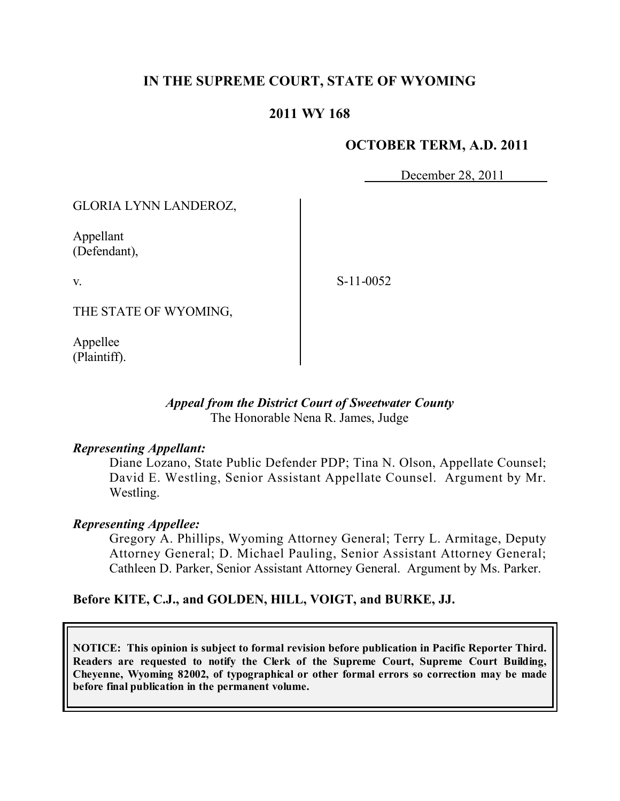# **IN THE SUPREME COURT, STATE OF WYOMING**

## **2011 WY 168**

### **OCTOBER TERM, A.D. 2011**

December 28, 2011

GLORIA LYNN LANDEROZ,

Appellant (Defendant),

v.

S-11-0052

THE STATE OF WYOMING,

Appellee (Plaintiff).

#### *Appeal from the District Court of Sweetwater County* The Honorable Nena R. James, Judge

#### *Representing Appellant:*

Diane Lozano, State Public Defender PDP; Tina N. Olson, Appellate Counsel; David E. Westling, Senior Assistant Appellate Counsel. Argument by Mr. Westling.

#### *Representing Appellee:*

Gregory A. Phillips, Wyoming Attorney General; Terry L. Armitage, Deputy Attorney General; D. Michael Pauling, Senior Assistant Attorney General; Cathleen D. Parker, Senior Assistant Attorney General. Argument by Ms. Parker.

#### **Before KITE, C.J., and GOLDEN, HILL, VOIGT, and BURKE, JJ.**

**NOTICE: This opinion is subject to formal revision before publication in Pacific Reporter Third. Readers are requested to notify the Clerk of the Supreme Court, Supreme Court Building, Cheyenne, Wyoming 82002, of typographical or other formal errors so correction may be made before final publication in the permanent volume.**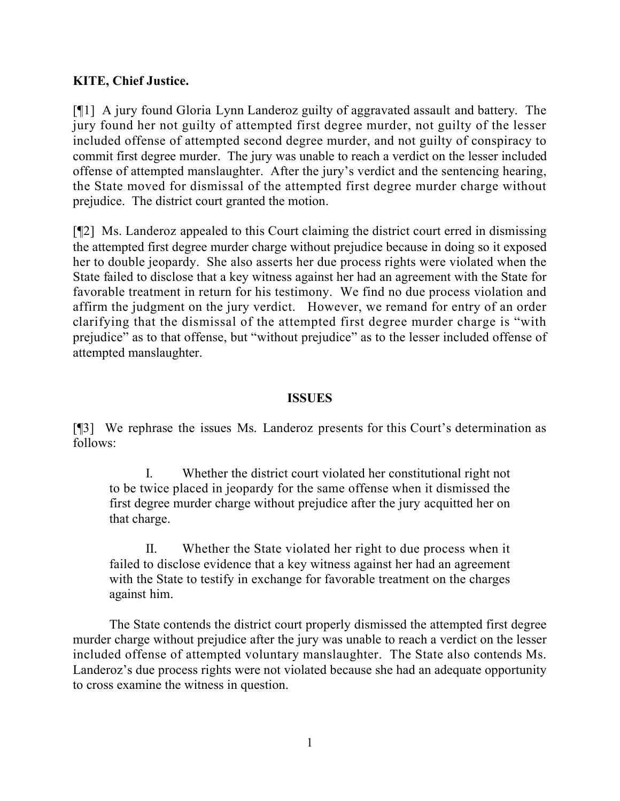# **KITE, Chief Justice.**

[¶1] A jury found Gloria Lynn Landeroz guilty of aggravated assault and battery. The jury found her not guilty of attempted first degree murder, not guilty of the lesser included offense of attempted second degree murder, and not guilty of conspiracy to commit first degree murder. The jury was unable to reach a verdict on the lesser included offense of attempted manslaughter. After the jury's verdict and the sentencing hearing, the State moved for dismissal of the attempted first degree murder charge without prejudice. The district court granted the motion.

[¶2] Ms. Landeroz appealed to this Court claiming the district court erred in dismissing the attempted first degree murder charge without prejudice because in doing so it exposed her to double jeopardy. She also asserts her due process rights were violated when the State failed to disclose that a key witness against her had an agreement with the State for favorable treatment in return for his testimony. We find no due process violation and affirm the judgment on the jury verdict. However, we remand for entry of an order clarifying that the dismissal of the attempted first degree murder charge is "with prejudice" as to that offense, but "without prejudice" as to the lesser included offense of attempted manslaughter.

### **ISSUES**

[¶3] We rephrase the issues Ms. Landeroz presents for this Court's determination as follows:

I. Whether the district court violated her constitutional right not to be twice placed in jeopardy for the same offense when it dismissed the first degree murder charge without prejudice after the jury acquitted her on that charge.

II. Whether the State violated her right to due process when it failed to disclose evidence that a key witness against her had an agreement with the State to testify in exchange for favorable treatment on the charges against him.

The State contends the district court properly dismissed the attempted first degree murder charge without prejudice after the jury was unable to reach a verdict on the lesser included offense of attempted voluntary manslaughter. The State also contends Ms. Landeroz's due process rights were not violated because she had an adequate opportunity to cross examine the witness in question.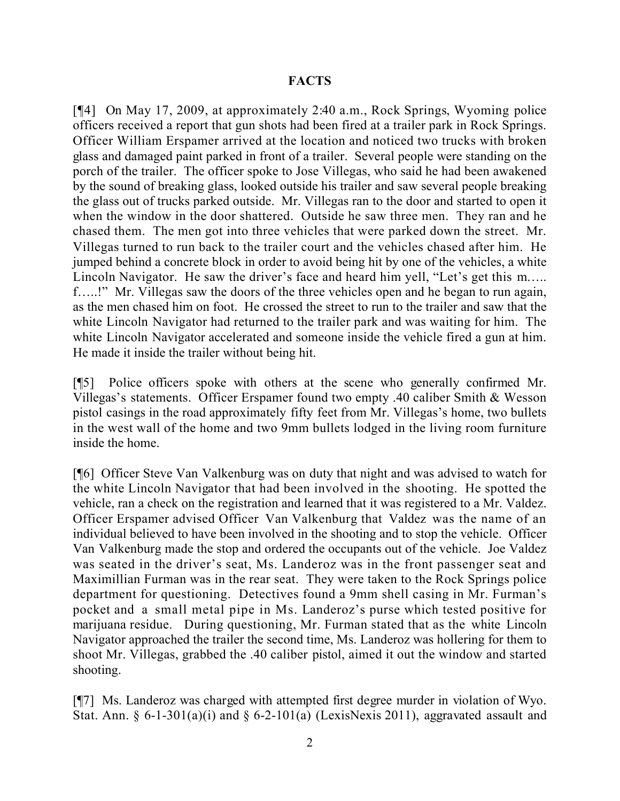### **FACTS**

[¶4] On May 17, 2009, at approximately 2:40 a.m., Rock Springs, Wyoming police officers received a report that gun shots had been fired at a trailer park in Rock Springs. Officer William Erspamer arrived at the location and noticed two trucks with broken glass and damaged paint parked in front of a trailer. Several people were standing on the porch of the trailer. The officer spoke to Jose Villegas, who said he had been awakened by the sound of breaking glass, looked outside his trailer and saw several people breaking the glass out of trucks parked outside. Mr. Villegas ran to the door and started to open it when the window in the door shattered. Outside he saw three men. They ran and he chased them. The men got into three vehicles that were parked down the street. Mr. Villegas turned to run back to the trailer court and the vehicles chased after him. He jumped behind a concrete block in order to avoid being hit by one of the vehicles, a white Lincoln Navigator. He saw the driver's face and heard him yell, "Let's get this m.... f…..!" Mr. Villegas saw the doors of the three vehicles open and he began to run again, as the men chased him on foot. He crossed the street to run to the trailer and saw that the white Lincoln Navigator had returned to the trailer park and was waiting for him. The white Lincoln Navigator accelerated and someone inside the vehicle fired a gun at him. He made it inside the trailer without being hit.

[¶5] Police officers spoke with others at the scene who generally confirmed Mr. Villegas's statements. Officer Erspamer found two empty .40 caliber Smith & Wesson pistol casings in the road approximately fifty feet from Mr. Villegas's home, two bullets in the west wall of the home and two 9mm bullets lodged in the living room furniture inside the home.

[¶6] Officer Steve Van Valkenburg was on duty that night and was advised to watch for the white Lincoln Navigator that had been involved in the shooting. He spotted the vehicle, ran a check on the registration and learned that it was registered to a Mr. Valdez. Officer Erspamer advised Officer Van Valkenburg that Valdez was the name of an individual believed to have been involved in the shooting and to stop the vehicle. Officer Van Valkenburg made the stop and ordered the occupants out of the vehicle. Joe Valdez was seated in the driver's seat, Ms. Landeroz was in the front passenger seat and Maximillian Furman was in the rear seat. They were taken to the Rock Springs police department for questioning. Detectives found a 9mm shell casing in Mr. Furman's pocket and a small metal pipe in Ms. Landeroz's purse which tested positive for marijuana residue. During questioning, Mr. Furman stated that as the white Lincoln Navigator approached the trailer the second time, Ms. Landeroz was hollering for them to shoot Mr. Villegas, grabbed the .40 caliber pistol, aimed it out the window and started shooting.

[¶7] Ms. Landeroz was charged with attempted first degree murder in violation of Wyo. Stat. Ann. §  $6-1-301(a)(i)$  and §  $6-2-101(a)$  (LexisNexis 2011), aggravated assault and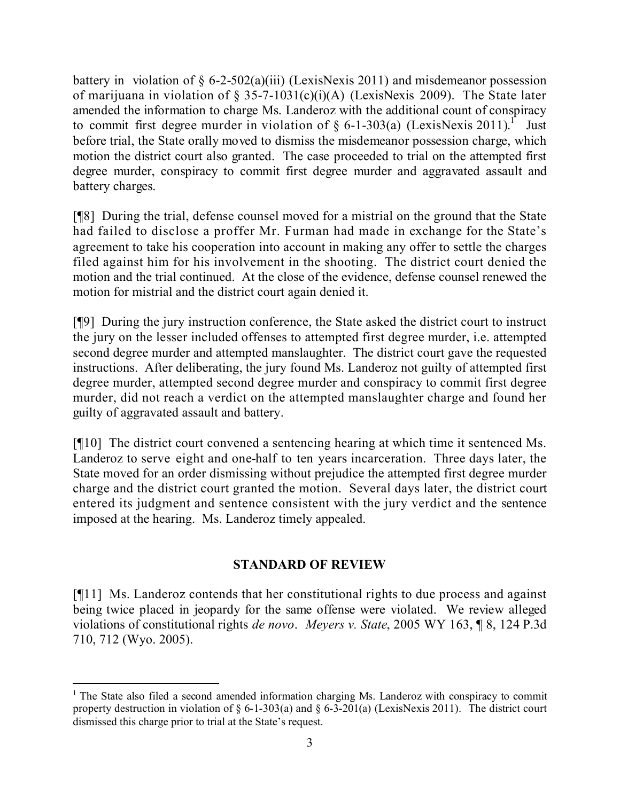battery in violation of  $\S$  6-2-502(a)(iii) (LexisNexis 2011) and misdemeanor possession of marijuana in violation of § 35-7-1031(c)(i)(A) (LexisNexis 2009). The State later amended the information to charge Ms. Landeroz with the additional count of conspiracy to commit first degree murder in violation of  $\S$  6-1-303(a) (LexisNexis 2011).<sup>1</sup> Just before trial, the State orally moved to dismiss the misdemeanor possession charge, which motion the district court also granted. The case proceeded to trial on the attempted first degree murder, conspiracy to commit first degree murder and aggravated assault and battery charges.

[¶8] During the trial, defense counsel moved for a mistrial on the ground that the State had failed to disclose a proffer Mr. Furman had made in exchange for the State's agreement to take his cooperation into account in making any offer to settle the charges filed against him for his involvement in the shooting. The district court denied the motion and the trial continued. At the close of the evidence, defense counsel renewed the motion for mistrial and the district court again denied it.

[¶9] During the jury instruction conference, the State asked the district court to instruct the jury on the lesser included offenses to attempted first degree murder, i.e. attempted second degree murder and attempted manslaughter. The district court gave the requested instructions. After deliberating, the jury found Ms. Landeroz not guilty of attempted first degree murder, attempted second degree murder and conspiracy to commit first degree murder, did not reach a verdict on the attempted manslaughter charge and found her guilty of aggravated assault and battery.

[¶10] The district court convened a sentencing hearing at which time it sentenced Ms. Landeroz to serve eight and one-half to ten years incarceration. Three days later, the State moved for an order dismissing without prejudice the attempted first degree murder charge and the district court granted the motion. Several days later, the district court entered its judgment and sentence consistent with the jury verdict and the sentence imposed at the hearing. Ms. Landeroz timely appealed.

## **STANDARD OF REVIEW**

[¶11] Ms. Landeroz contends that her constitutional rights to due process and against being twice placed in jeopardy for the same offense were violated. We review alleged violations of constitutional rights *de novo*. *Meyers v. State*, 2005 WY 163, ¶ 8, 124 P.3d 710, 712 (Wyo. 2005).

 <sup>1</sup> The State also filed a second amended information charging Ms. Landeroz with conspiracy to commit property destruction in violation of  $\S 6$ -1-303(a) and  $\S 6$ -3-201(a) (LexisNexis 2011). The district court dismissed this charge prior to trial at the State's request.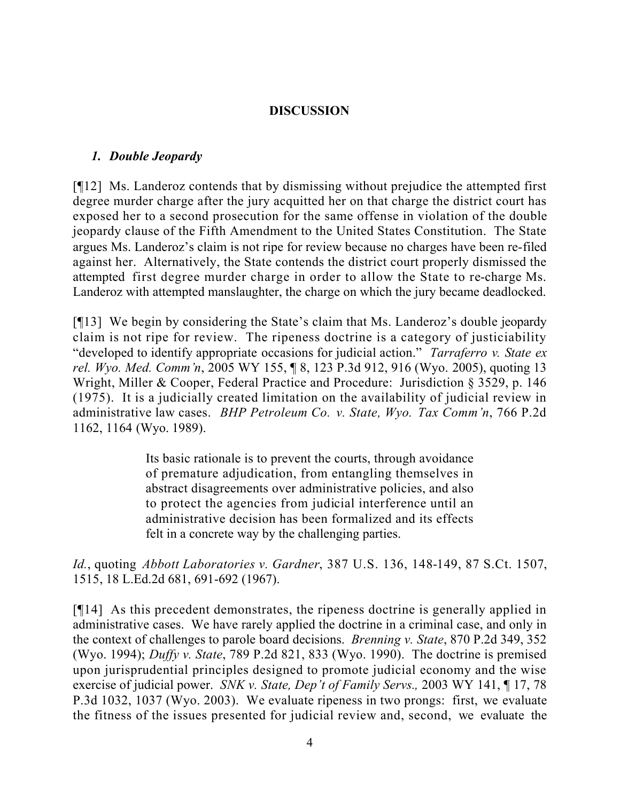## **DISCUSSION**

### *1. Double Jeopardy*

[¶12] Ms. Landeroz contends that by dismissing without prejudice the attempted first degree murder charge after the jury acquitted her on that charge the district court has exposed her to a second prosecution for the same offense in violation of the double jeopardy clause of the Fifth Amendment to the United States Constitution. The State argues Ms. Landeroz's claim is not ripe for review because no charges have been re-filed against her. Alternatively, the State contends the district court properly dismissed the attempted first degree murder charge in order to allow the State to re-charge Ms. Landeroz with attempted manslaughter, the charge on which the jury became deadlocked.

[¶13] We begin by considering the State's claim that Ms. Landeroz's double jeopardy claim is not ripe for review. The ripeness doctrine is a category of justiciability "developed to identify appropriate occasions for judicial action." *Tarraferro v. State ex rel. Wyo. Med. Comm'n*, 2005 WY 155, ¶ 8, 123 P.3d 912, 916 (Wyo. 2005), quoting 13 Wright, Miller & Cooper, Federal Practice and Procedure: Jurisdiction § 3529, p. 146 (1975). It is a judicially created limitation on the availability of judicial review in administrative law cases. *BHP Petroleum Co. v. State, Wyo. Tax Comm'n*, 766 P.2d 1162, 1164 (Wyo. 1989).

> Its basic rationale is to prevent the courts, through avoidance of premature adjudication, from entangling themselves in abstract disagreements over administrative policies, and also to protect the agencies from judicial interference until an administrative decision has been formalized and its effects felt in a concrete way by the challenging parties.

*Id.*, quoting *Abbott Laboratories v. Gardner*, 387 U.S. 136, 148-149, 87 S.Ct. 1507, 1515, 18 L.Ed.2d 681, 691-692 (1967).

[¶14] As this precedent demonstrates, the ripeness doctrine is generally applied in administrative cases. We have rarely applied the doctrine in a criminal case, and only in the context of challenges to parole board decisions. *Brenning v. State*, 870 P.2d 349, 352 (Wyo. 1994); *Duffy v. State*, 789 P.2d 821, 833 (Wyo. 1990). The doctrine is premised upon jurisprudential principles designed to promote judicial economy and the wise exercise of judicial power. *SNK v. State, Dep't of Family Servs.,* 2003 WY 141, ¶ 17, 78 P.3d 1032, 1037 (Wyo. 2003). We evaluate ripeness in two prongs: first, we evaluate the fitness of the issues presented for judicial review and, second, we evaluate the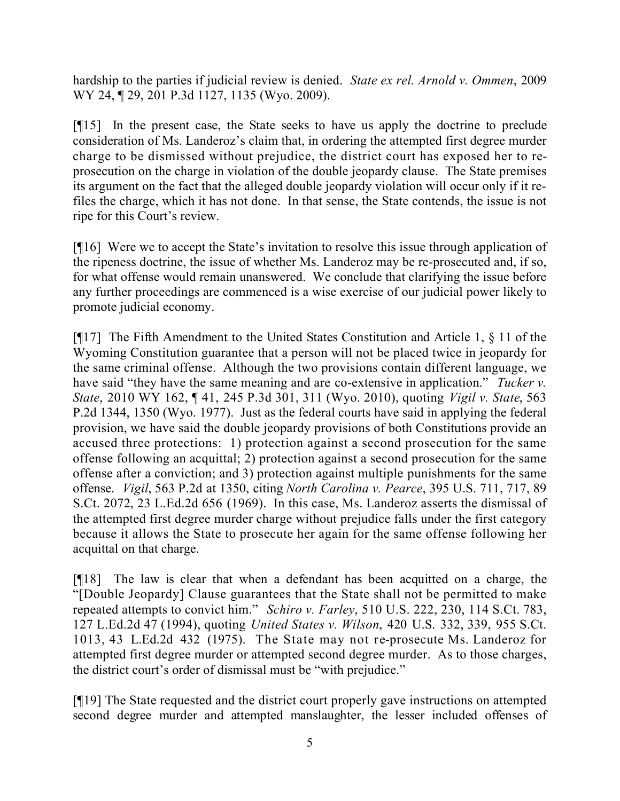hardship to the parties if judicial review is denied. *State ex rel. Arnold v. Ommen*, 2009 WY 24, 129, 201 P.3d 1127, 1135 (Wyo. 2009).

[¶15] In the present case, the State seeks to have us apply the doctrine to preclude consideration of Ms. Landeroz's claim that, in ordering the attempted first degree murder charge to be dismissed without prejudice, the district court has exposed her to reprosecution on the charge in violation of the double jeopardy clause. The State premises its argument on the fact that the alleged double jeopardy violation will occur only if it refiles the charge, which it has not done. In that sense, the State contends, the issue is not ripe for this Court's review.

[¶16] Were we to accept the State's invitation to resolve this issue through application of the ripeness doctrine, the issue of whether Ms. Landeroz may be re-prosecuted and, if so, for what offense would remain unanswered. We conclude that clarifying the issue before any further proceedings are commenced is a wise exercise of our judicial power likely to promote judicial economy.

[¶17] The Fifth Amendment to the United States Constitution and Article 1, § 11 of the Wyoming Constitution guarantee that a person will not be placed twice in jeopardy for the same criminal offense. Although the two provisions contain different language, we have said "they have the same meaning and are co-extensive in application." *Tucker v. State*, 2010 WY 162, ¶ 41, 245 P.3d 301, 311 (Wyo. 2010), quoting *Vigil v. State*, 563 P.2d 1344, 1350 (Wyo. 1977). Just as the federal courts have said in applying the federal provision, we have said the double jeopardy provisions of both Constitutions provide an accused three protections: 1) protection against a second prosecution for the same offense following an acquittal; 2) protection against a second prosecution for the same offense after a conviction; and 3) protection against multiple punishments for the same offense. *Vigil*, 563 P.2d at 1350, citing *North Carolina v. Pearce*, 395 U.S. 711, 717, 89 S.Ct. 2072, 23 L.Ed.2d 656 (1969). In this case, Ms. Landeroz asserts the dismissal of the attempted first degree murder charge without prejudice falls under the first category because it allows the State to prosecute her again for the same offense following her acquittal on that charge.

[¶18] The law is clear that when a defendant has been acquitted on a charge, the "[Double Jeopardy] Clause guarantees that the State shall not be permitted to make repeated attempts to convict him." *Schiro v. Farley*, 510 U.S. 222, 230, 114 S.Ct. 783, 127 L.Ed.2d 47 (1994), quoting *United States v. Wilson*, 420 U.S. 332, 339, 955 S.Ct. 1013, 43 L.Ed.2d 432 (1975). The State may not re-prosecute Ms. Landeroz for attempted first degree murder or attempted second degree murder. As to those charges, the district court's order of dismissal must be "with prejudice."

[¶19] The State requested and the district court properly gave instructions on attempted second degree murder and attempted manslaughter, the lesser included offenses of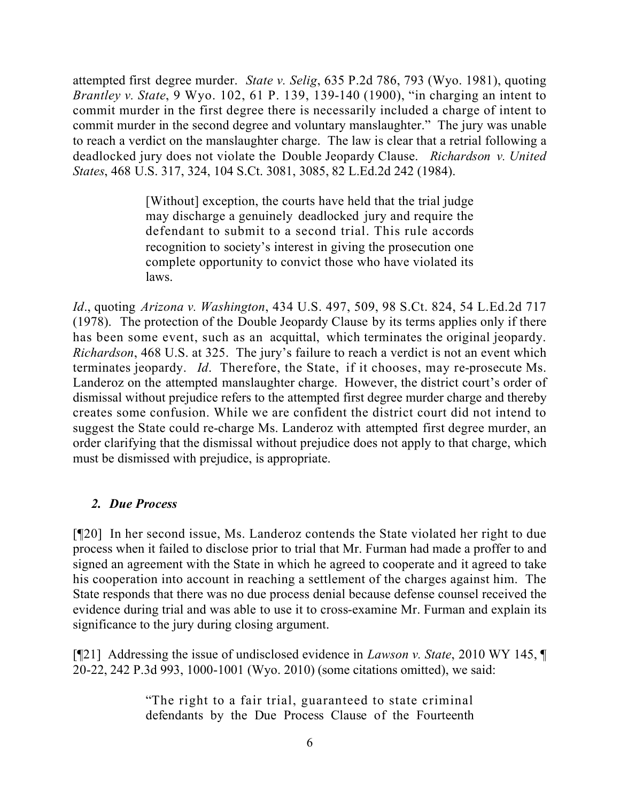attempted first degree murder. *State v. Selig*, 635 P.2d 786, 793 (Wyo. 1981), quoting *Brantley v. State*, 9 Wyo. 102, 61 P. 139, 139-140 (1900), "in charging an intent to commit murder in the first degree there is necessarily included a charge of intent to commit murder in the second degree and voluntary manslaughter." The jury was unable to reach a verdict on the manslaughter charge. The law is clear that a retrial following a deadlocked jury does not violate the Double Jeopardy Clause. *Richardson v. United States*, 468 U.S. 317, 324, 104 S.Ct. 3081, 3085, 82 L.Ed.2d 242 (1984).

> [Without] exception, the courts have held that the trial judge may discharge a genuinely deadlocked jury and require the defendant to submit to a second trial. This rule accords recognition to society's interest in giving the prosecution one complete opportunity to convict those who have violated its laws.

*Id*., quoting *Arizona v. Washington*, 434 U.S. 497, 509, 98 S.Ct. 824, 54 L.Ed.2d 717 (1978). The protection of the Double Jeopardy Clause by its terms applies only if there has been some event, such as an acquittal, which terminates the original jeopardy. *Richardson*, 468 U.S. at 325. The jury's failure to reach a verdict is not an event which terminates jeopardy. *Id*. Therefore, the State, if it chooses, may re-prosecute Ms. Landeroz on the attempted manslaughter charge. However, the district court's order of dismissal without prejudice refers to the attempted first degree murder charge and thereby creates some confusion. While we are confident the district court did not intend to suggest the State could re-charge Ms. Landeroz with attempted first degree murder, an order clarifying that the dismissal without prejudice does not apply to that charge, which must be dismissed with prejudice, is appropriate.

# *2. Due Process*

[¶20] In her second issue, Ms. Landeroz contends the State violated her right to due process when it failed to disclose prior to trial that Mr. Furman had made a proffer to and signed an agreement with the State in which he agreed to cooperate and it agreed to take his cooperation into account in reaching a settlement of the charges against him. The State responds that there was no due process denial because defense counsel received the evidence during trial and was able to use it to cross-examine Mr. Furman and explain its significance to the jury during closing argument.

[¶21] Addressing the issue of undisclosed evidence in *Lawson v. State*, 2010 WY 145, ¶ 20-22, 242 P.3d 993, 1000-1001 (Wyo. 2010) (some citations omitted), we said:

> "The right to a fair trial, guaranteed to state criminal defendants by the Due Process Clause of the Fourteenth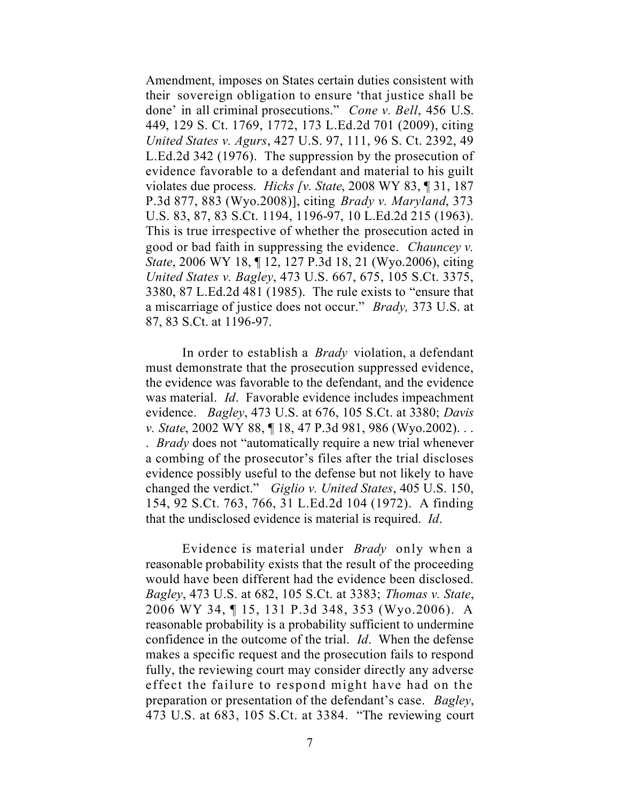Amendment, imposes on States certain duties consistent with their sovereign obligation to ensure 'that justice shall be done' in all criminal prosecutions." *Cone v. Bell*, 456 U.S. 449, 129 S. Ct. 1769, 1772, 173 L.Ed.2d 701 (2009), citing *United States v. Agurs*, 427 U.S. 97, 111, 96 S. Ct. 2392, 49 L.Ed.2d 342 (1976). The suppression by the prosecution of evidence favorable to a defendant and material to his guilt violates due process. *Hicks [v. State*, 2008 WY 83, ¶ 31, 187 P.3d 877, 883 (Wyo.2008)], citing *Brady v. Maryland*, 373 U.S. 83, 87, 83 S.Ct. 1194, 1196-97, 10 L.Ed.2d 215 (1963). This is true irrespective of whether the prosecution acted in good or bad faith in suppressing the evidence. *Chauncey v. State*, 2006 WY 18, ¶ 12, 127 P.3d 18, 21 (Wyo.2006), citing *United States v. Bagley*, 473 U.S. 667, 675, 105 S.Ct. 3375, 3380, 87 L.Ed.2d 481 (1985). The rule exists to "ensure that a miscarriage of justice does not occur." *Brady,* 373 U.S. at 87, 83 S.Ct. at 1196-97.

In order to establish a *Brady* violation, a defendant must demonstrate that the prosecution suppressed evidence, the evidence was favorable to the defendant, and the evidence was material. *Id*. Favorable evidence includes impeachment evidence. *Bagley*, 473 U.S. at 676, 105 S.Ct. at 3380; *Davis v. State*, 2002 WY 88, ¶ 18, 47 P.3d 981, 986 (Wyo.2002). . . . *Brady* does not "automatically require a new trial whenever a combing of the prosecutor's files after the trial discloses evidence possibly useful to the defense but not likely to have changed the verdict." *Giglio v. United States*, 405 U.S. 150, 154, 92 S.Ct. 763, 766, 31 L.Ed.2d 104 (1972). A finding that the undisclosed evidence is material is required. *Id*.

Evidence is material under *Brady* only when a reasonable probability exists that the result of the proceeding would have been different had the evidence been disclosed. *Bagley*, 473 U.S. at 682, 105 S.Ct. at 3383; *Thomas v. State*, 2006 WY 34, ¶ 15, 131 P.3d 348, 353 (Wyo.2006). A reasonable probability is a probability sufficient to undermine confidence in the outcome of the trial. *Id*. When the defense makes a specific request and the prosecution fails to respond fully, the reviewing court may consider directly any adverse effect the failure to respond might have had on the preparation or presentation of the defendant's case. *Bagley*, 473 U.S. at 683, 105 S.Ct. at 3384. "The reviewing court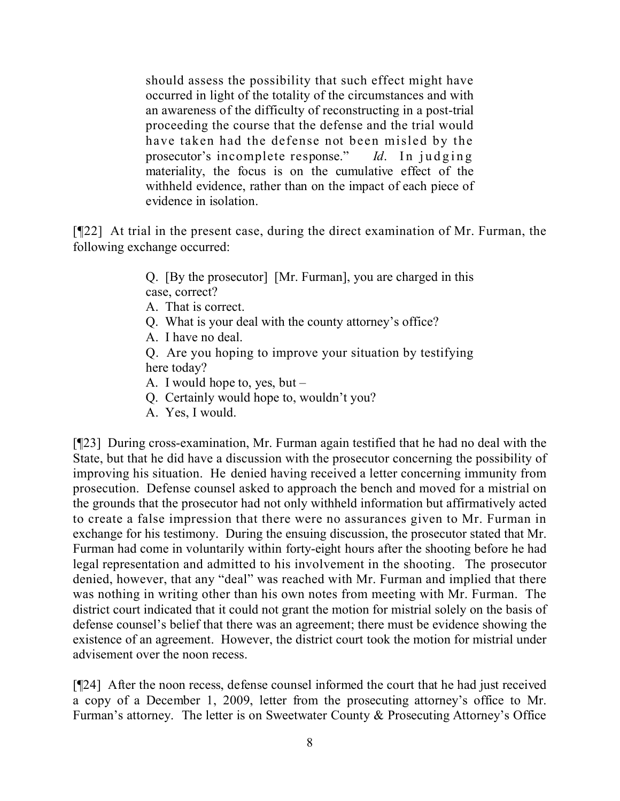should assess the possibility that such effect might have occurred in light of the totality of the circumstances and with an awareness of the difficulty of reconstructing in a post-trial proceeding the course that the defense and the trial would have taken had the defense not been misled by the prosecutor's incomplete response." *Id*. In judging materiality, the focus is on the cumulative effect of the withheld evidence, rather than on the impact of each piece of evidence in isolation.

[¶22] At trial in the present case, during the direct examination of Mr. Furman, the following exchange occurred:

> Q. [By the prosecutor] [Mr. Furman], you are charged in this case, correct?

A. That is correct.

Q. What is your deal with the county attorney's office?

A. I have no deal.

Q. Are you hoping to improve your situation by testifying here today?

A. I would hope to, yes, but –

Q. Certainly would hope to, wouldn't you?

A. Yes, I would.

[¶23] During cross-examination, Mr. Furman again testified that he had no deal with the State, but that he did have a discussion with the prosecutor concerning the possibility of improving his situation. He denied having received a letter concerning immunity from prosecution. Defense counsel asked to approach the bench and moved for a mistrial on the grounds that the prosecutor had not only withheld information but affirmatively acted to create a false impression that there were no assurances given to Mr. Furman in exchange for his testimony. During the ensuing discussion, the prosecutor stated that Mr. Furman had come in voluntarily within forty-eight hours after the shooting before he had legal representation and admitted to his involvement in the shooting. The prosecutor denied, however, that any "deal" was reached with Mr. Furman and implied that there was nothing in writing other than his own notes from meeting with Mr. Furman. The district court indicated that it could not grant the motion for mistrial solely on the basis of defense counsel's belief that there was an agreement; there must be evidence showing the existence of an agreement. However, the district court took the motion for mistrial under advisement over the noon recess.

[¶24] After the noon recess, defense counsel informed the court that he had just received a copy of a December 1, 2009, letter from the prosecuting attorney's office to Mr. Furman's attorney. The letter is on Sweetwater County & Prosecuting Attorney's Office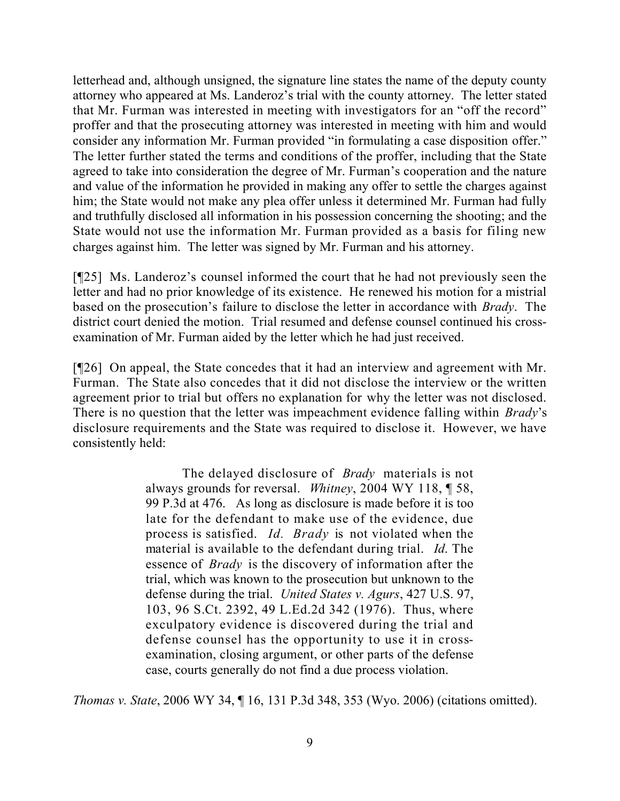letterhead and, although unsigned, the signature line states the name of the deputy county attorney who appeared at Ms. Landeroz's trial with the county attorney. The letter stated that Mr. Furman was interested in meeting with investigators for an "off the record" proffer and that the prosecuting attorney was interested in meeting with him and would consider any information Mr. Furman provided "in formulating a case disposition offer." The letter further stated the terms and conditions of the proffer, including that the State agreed to take into consideration the degree of Mr. Furman's cooperation and the nature and value of the information he provided in making any offer to settle the charges against him; the State would not make any plea offer unless it determined Mr. Furman had fully and truthfully disclosed all information in his possession concerning the shooting; and the State would not use the information Mr. Furman provided as a basis for filing new charges against him. The letter was signed by Mr. Furman and his attorney.

[¶25] Ms. Landeroz's counsel informed the court that he had not previously seen the letter and had no prior knowledge of its existence. He renewed his motion for a mistrial based on the prosecution's failure to disclose the letter in accordance with *Brady*. The district court denied the motion. Trial resumed and defense counsel continued his crossexamination of Mr. Furman aided by the letter which he had just received.

[¶26] On appeal, the State concedes that it had an interview and agreement with Mr. Furman. The State also concedes that it did not disclose the interview or the written agreement prior to trial but offers no explanation for why the letter was not disclosed. There is no question that the letter was impeachment evidence falling within *Brady*'s disclosure requirements and the State was required to disclose it. However, we have consistently held:

> The delayed disclosure of *Brady* materials is not always grounds for reversal. *Whitney*, 2004 WY 118, ¶ 58, 99 P.3d at 476. As long as disclosure is made before it is too late for the defendant to make use of the evidence, due process is satisfied. *Id. Brady* is not violated when the material is available to the defendant during trial. *Id*. The essence of *Brady* is the discovery of information after the trial, which was known to the prosecution but unknown to the defense during the trial. *United States v. Agurs*, 427 U.S. 97, 103, 96 S.Ct. 2392, 49 L.Ed.2d 342 (1976). Thus, where exculpatory evidence is discovered during the trial and defense counsel has the opportunity to use it in crossexamination, closing argument, or other parts of the defense case, courts generally do not find a due process violation.

*Thomas v. State*, 2006 WY 34, ¶ 16, 131 P.3d 348, 353 (Wyo. 2006) (citations omitted).